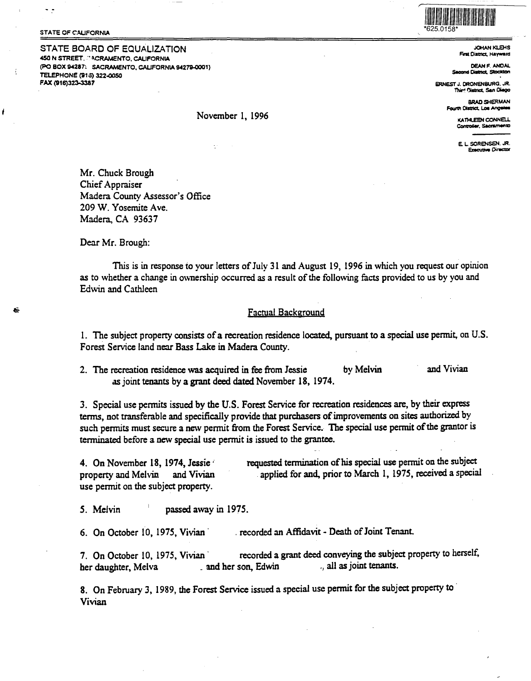#### **STATE OF CALIFORNIA**

 $\ddot{\phantom{0}}$ 

STATE BOARD OF EQUALIZATION 450 N STREET, ACRAMENTO, CALIFORNIA (PO BOX 94287: SACRAMENTO, CALIFORNIA 94279-0001) TELEPHONE (915) 322-0050 FAX (916)323-3387



**JOHAN KLEHS** First District, Hayward

**DEAN F. ANDAL** and District, Stockton

ERNEST J. DRONENBURG, JR. Third District, San Diego

> **BRAD SHERMAN** Fourth District, Los Angeles

> > KATHLEEN CONNELL Committee Secretmento

E L SORENSEN, JR. Executive Director

Mr. Chuck Brough Chief Appraiser Madera County Assessor's Office 209 W. Yosemite Ave. Madera, CA 93637

Dear Mr. Brough:

This is in response to your letters of July 31 and August 19, 1996 in which you request our opinion as to whether a change in ownership occurred as a result of the following facts provided to us by you and Edwin and Cathleen

November 1, 1996

# **Factual Background**

1. The subject property consists of a recreation residence located, pursuant to a special use permit, on U.S. Forest Service land near Bass Lake in Madera County.

and Vivian 2. The recreation residence was acquired in fee from Jessie by Melvin as joint tenants by a grant deed dated November 18, 1974.

3. Special use permits issued by the U.S. Forest Service for recreation residences are, by their express terms, not transferable and specifically provide that purchasers of improvements on sites authorized by such permits must secure a new permit from the Forest Service. The special use permit of the grantor is terminated before a new special use permit is issued to the grantee.

requested termination of his special use permit on the subject 4. On November 18, 1974, Jessie applied for and, prior to March 1, 1975, received a special property and Melvin and Vivian use permit on the subject property.

passed away in 1975. 5. Melvin

recorded an Affidavit - Death of Joint Tenant. 6. On October 10, 1975, Vivian

recorded a grant deed conveying the subject property to herself, 7. On October 10, 1975, Vivian all as joint tenants. and her son, Edwin her daughter, Melva

8. On February 3, 1989, the Forest Service issued a special use permit for the subject property to Vivian

ł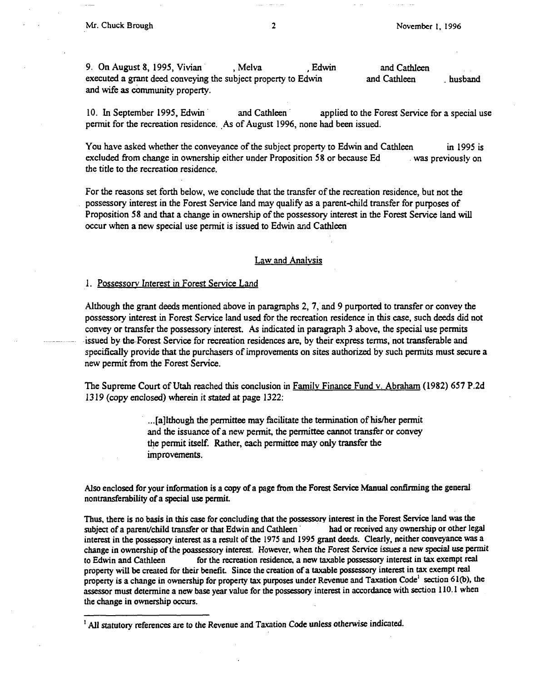9. On August 8, 1995, Vivian , Melva , Edwin and Cathleen executed a grant deed conveying the subject property to Edwin and Cathleen husband and wife as community property.

10. In September 1995, Edwin and Cathleen applied to the Forest Service for a special use permit for the recreation residence. As of August 1996, none had been issued.

You have asked whether the conveyance of the subject property to Edwin and Cathleen in 1995 is excluded from change in ownership either under Proposition 58 or because Ed . was previously on the tide to the recreation residence.

For the reasons set forth below, we conclude that the transfer of the recreation residence, but not the possessory interest in the Forest Service land may qualify as a parent-child transfer for purposes of Proposition 58 and that a change in ownership of the possessory interest in the Forest Service land will occur when a new special use permit is issued to Edwin and Cathleen

### Law and Analvsis

## l. Possessorv Interest in Forest Service Land

Although the grant deeds mentioned above in paragraphs 2, 7, and 9 purported to transfer or convey the possessory interest in Forest Service land used for the recreation residence in this case, such deeds did not convey or transfer the possessory interest. As indicated in paragraph 3 above, the special use permits issued by the-Forest Service for recreation residences are, by their express terms, not transferable and specifically provide that the purchasers of improvements on sites authorized by such permits must secure a new permit from the Forest Service.

The Supreme Court of Utah reached this conclusion in Family Finance Fund v. Abraham (1982) 657 P.2d 1319 (copy enclosed) wherein it stated at page 1322:

> ... [a]lthough the permittee may facilitate the termination of his/her permit and the issuance of a new permit, the permittee cannot transfer or convey the permit itself. Rather, each permittee may only transfer the improvements.

Also enclosed for your information is a copy of a page from the Forest Service Manual confirming the general nontransferabillty of a special use permit.

Thus, there is no basis in this case for concluding that the possessory interest in the Forest Service land was the subject of a parent/child transfer or that Edwin and Cathleen had or received any ownership or other legal interest in the possessory interest as a result of the 197S and 199S grant deeds. Clearly, neither conveyance was a change in ownership of the poassessory interest. However, when the Forest Service issues a new special use permit to Edwin and Cathleen for the recreation residence, a new taxable possessory interest in tax exempt real property will be created for their benefit. Since the creation of a taxable possessory interest in tax exempt real property is a change in ownership for property tax purposes under Revenue and Taxation Code<sup>1</sup> section 61(b), the assessor must determine a new base year value for the possessory interest in accordance with section 110. l when the change in ownership occurs.

<sup>&</sup>lt;sup>1</sup> All statutory references are to the Revenue and Taxation Code unless otherwise indicated.